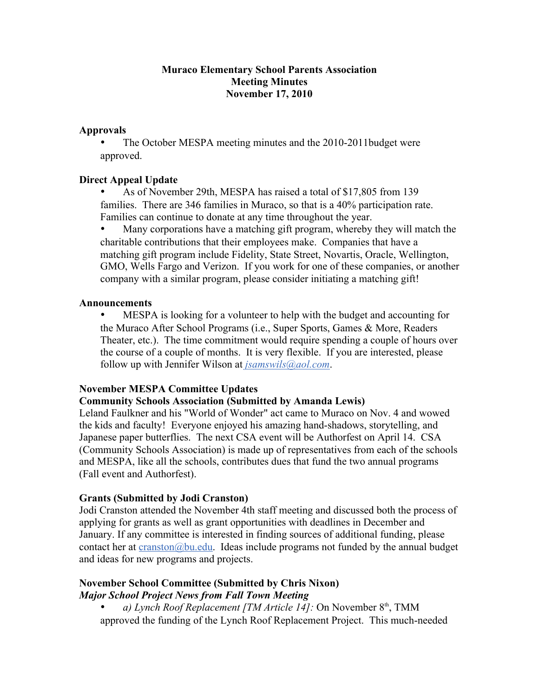### **Muraco Elementary School Parents Association Meeting Minutes November 17, 2010**

### **Approvals**

The October MESPA meeting minutes and the 2010-2011 budget were approved.

# **Direct Appeal Update**

• As of November 29th, MESPA has raised a total of \$17,805 from 139 families. There are 346 families in Muraco, so that is a 40% participation rate. Families can continue to donate at any time throughout the year.

• Many corporations have a matching gift program, whereby they will match the charitable contributions that their employees make. Companies that have a matching gift program include Fidelity, State Street, Novartis, Oracle, Wellington, GMO, Wells Fargo and Verizon. If you work for one of these companies, or another company with a similar program, please consider initiating a matching gift!

#### **Announcements**

• MESPA is looking for a volunteer to help with the budget and accounting for the Muraco After School Programs (i.e., Super Sports, Games & More, Readers Theater, etc.). The time commitment would require spending a couple of hours over the course of a couple of months. It is very flexible. If you are interested, please follow up with Jennifer Wilson at *jsamswils@aol.com*.

# **November MESPA Committee Updates**

# **Community Schools Association (Submitted by Amanda Lewis)**

Leland Faulkner and his "World of Wonder" act came to Muraco on Nov. 4 and wowed the kids and faculty! Everyone enjoyed his amazing hand-shadows, storytelling, and Japanese paper butterflies. The next CSA event will be Authorfest on April 14. CSA (Community Schools Association) is made up of representatives from each of the schools and MESPA, like all the schools, contributes dues that fund the two annual programs (Fall event and Authorfest).

# **Grants (Submitted by Jodi Cranston)**

Jodi Cranston attended the November 4th staff meeting and discussed both the process of applying for grants as well as grant opportunities with deadlines in December and January. If any committee is interested in finding sources of additional funding, please contact her at  $c$ ranston@bu.edu. Ideas include programs not funded by the annual budget and ideas for new programs and projects.

### **November School Committee (Submitted by Chris Nixon)** *Major School Project News from Fall Town Meeting*

a) Lynch Roof Replacement [TM Article 14]: On November 8<sup>th</sup>, TMM approved the funding of the Lynch Roof Replacement Project. This much-needed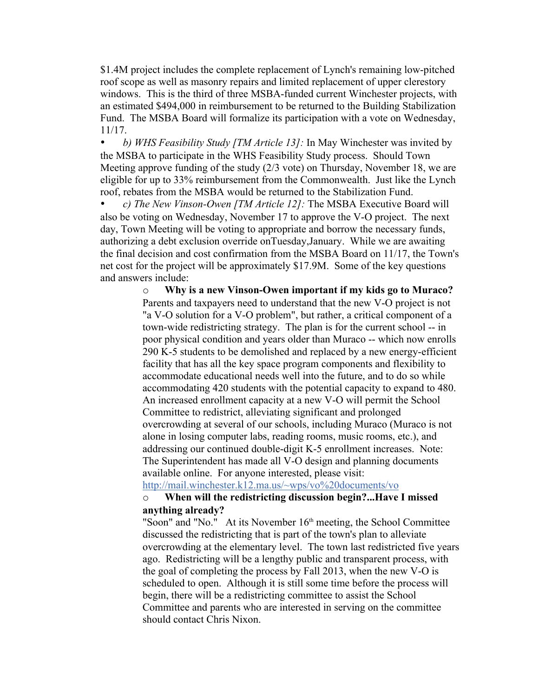\$1.4M project includes the complete replacement of Lynch's remaining low-pitched roof scope as well as masonry repairs and limited replacement of upper clerestory windows. This is the third of three MSBA-funded current Winchester projects, with an estimated \$494,000 in reimbursement to be returned to the Building Stabilization Fund. The MSBA Board will formalize its participation with a vote on Wednesday, 11/17.

• *b) WHS Feasibility Study [TM Article 13]:* In May Winchester was invited by the MSBA to participate in the WHS Feasibility Study process. Should Town Meeting approve funding of the study (2/3 vote) on Thursday, November 18, we are eligible for up to 33% reimbursement from the Commonwealth. Just like the Lynch roof, rebates from the MSBA would be returned to the Stabilization Fund.

• *c) The New Vinson-Owen [TM Article 12]:* The MSBA Executive Board will also be voting on Wednesday, November 17 to approve the V-O project. The next day, Town Meeting will be voting to appropriate and borrow the necessary funds, authorizing a debt exclusion override onTuesday,January. While we are awaiting the final decision and cost confirmation from the MSBA Board on 11/17, the Town's net cost for the project will be approximately \$17.9M. Some of the key questions and answers include:

> o **Why is a new Vinson-Owen important if my kids go to Muraco?** Parents and taxpayers need to understand that the new V-O project is not "a V-O solution for a V-O problem", but rather, a critical component of a town-wide redistricting strategy. The plan is for the current school -- in poor physical condition and years older than Muraco -- which now enrolls 290 K-5 students to be demolished and replaced by a new energy-efficient facility that has all the key space program components and flexibility to accommodate educational needs well into the future, and to do so while accommodating 420 students with the potential capacity to expand to 480. An increased enrollment capacity at a new V-O will permit the School Committee to redistrict, alleviating significant and prolonged overcrowding at several of our schools, including Muraco (Muraco is not alone in losing computer labs, reading rooms, music rooms, etc.), and addressing our continued double-digit K-5 enrollment increases. Note: The Superintendent has made all V-O design and planning documents available online. For anyone interested, please visit:

http://mail.winchester.k12.ma.us/~wps/vo%20documents/vo

# o **When will the redistricting discussion begin?...Have I missed anything already?**

"Soon" and "No." At its November  $16<sup>th</sup>$  meeting, the School Committee discussed the redistricting that is part of the town's plan to alleviate overcrowding at the elementary level. The town last redistricted five years ago. Redistricting will be a lengthy public and transparent process, with the goal of completing the process by Fall 2013, when the new V-O is scheduled to open. Although it is still some time before the process will begin, there will be a redistricting committee to assist the School Committee and parents who are interested in serving on the committee should contact Chris Nixon.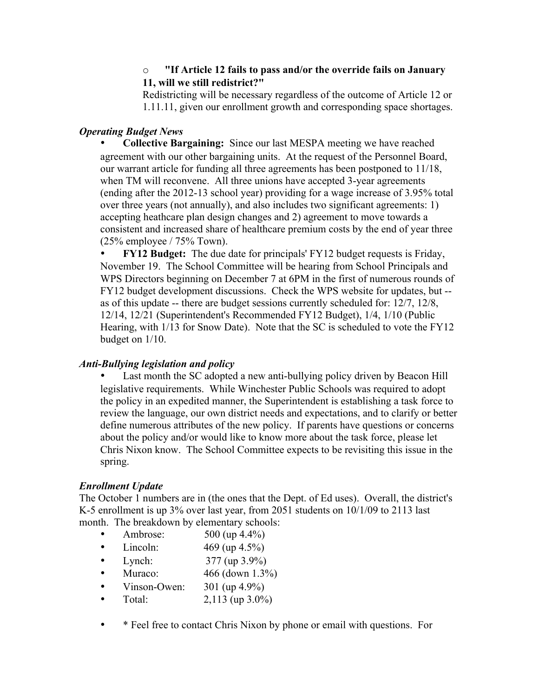# o **"If Article 12 fails to pass and/or the override fails on January 11, will we still redistrict?"**

Redistricting will be necessary regardless of the outcome of Article 12 or 1.11.11, given our enrollment growth and corresponding space shortages.

### *Operating Budget News*

• **Collective Bargaining:** Since our last MESPA meeting we have reached agreement with our other bargaining units. At the request of the Personnel Board, our warrant article for funding all three agreements has been postponed to 11/18, when TM will reconvene. All three unions have accepted 3-year agreements (ending after the 2012-13 school year) providing for a wage increase of 3.95% total over three years (not annually), and also includes two significant agreements: 1) accepting heathcare plan design changes and 2) agreement to move towards a consistent and increased share of healthcare premium costs by the end of year three (25% employee / 75% Town).

• **FY12 Budget:** The due date for principals' FY12 budget requests is Friday, November 19. The School Committee will be hearing from School Principals and WPS Directors beginning on December 7 at 6PM in the first of numerous rounds of FY12 budget development discussions. Check the WPS website for updates, but - as of this update -- there are budget sessions currently scheduled for: 12/7, 12/8, 12/14, 12/21 (Superintendent's Recommended FY12 Budget), 1/4, 1/10 (Public Hearing, with 1/13 for Snow Date). Note that the SC is scheduled to vote the FY12 budget on 1/10.

#### *Anti-Bullying legislation and policy*

Last month the SC adopted a new anti-bullying policy driven by Beacon Hill legislative requirements. While Winchester Public Schools was required to adopt the policy in an expedited manner, the Superintendent is establishing a task force to review the language, our own district needs and expectations, and to clarify or better define numerous attributes of the new policy. If parents have questions or concerns about the policy and/or would like to know more about the task force, please let Chris Nixon know. The School Committee expects to be revisiting this issue in the spring.

# *Enrollment Update*

The October 1 numbers are in (the ones that the Dept. of Ed uses). Overall, the district's K-5 enrollment is up 3% over last year, from 2051 students on 10/1/09 to 2113 last month. The breakdown by elementary schools:

- Ambrose: 500 (up 4.4%)
- Lincoln:  $469 \text{ (up } 4.5\%)$
- Lynch: 377 (up 3.9%)
- Muraco:  $466$  (down  $1.3\%$ )
- Vinson-Owen:  $301 \text{ (up } 4.9\%)$
- Total:  $2,113 \text{ (up } 3.0\%)$
- \* Feel free to contact Chris Nixon by phone or email with questions. For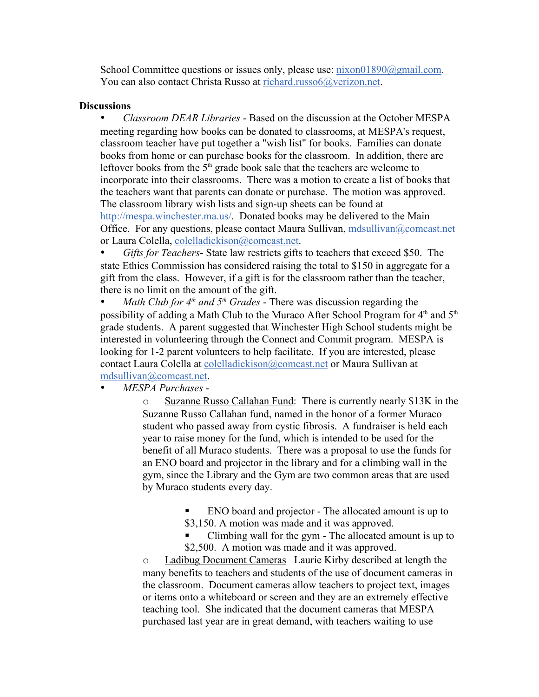School Committee questions or issues only, please use: nixon01890@gmail.com. You can also contact Christa Russo at richard.russo6@verizon.net.

#### **Discussions**

• *Classroom DEAR Libraries* - Based on the discussion at the October MESPA meeting regarding how books can be donated to classrooms, at MESPA's request, classroom teacher have put together a "wish list" for books. Families can donate books from home or can purchase books for the classroom. In addition, there are leftover books from the  $5<sup>th</sup>$  grade book sale that the teachers are welcome to incorporate into their classrooms. There was a motion to create a list of books that the teachers want that parents can donate or purchase. The motion was approved. The classroom library wish lists and sign-up sheets can be found at http://mespa.winchester.ma.us/. Donated books may be delivered to the Main Office. For any questions, please contact Maura Sullivan, mdsullivan@comcast.net or Laura Colella, colelladickison@comcast.net.

• *Gifts for Teachers*- State law restricts gifts to teachers that exceed \$50. The state Ethics Commission has considered raising the total to \$150 in aggregate for a gift from the class. However, if a gift is for the classroom rather than the teacher, there is no limit on the amount of the gift.

*Math Club for*  $4<sup>th</sup>$  *and*  $5<sup>th</sup>$  *Grades* - There was discussion regarding the possibility of adding a Math Club to the Muraco After School Program for  $4<sup>th</sup>$  and  $5<sup>th</sup>$ grade students. A parent suggested that Winchester High School students might be interested in volunteering through the Connect and Commit program. MESPA is looking for 1-2 parent volunteers to help facilitate. If you are interested, please contact Laura Colella at colelladickison@comcast.net or Maura Sullivan at mdsullivan@comcast.net.

• *MESPA Purchases* -

o Suzanne Russo Callahan Fund: There is currently nearly \$13K in the Suzanne Russo Callahan fund, named in the honor of a former Muraco student who passed away from cystic fibrosis. A fundraiser is held each year to raise money for the fund, which is intended to be used for the benefit of all Muraco students. There was a proposal to use the funds for an ENO board and projector in the library and for a climbing wall in the gym, since the Library and the Gym are two common areas that are used by Muraco students every day.

> ENO board and projector - The allocated amount is up to \$3,150. A motion was made and it was approved.

 Climbing wall for the gym - The allocated amount is up to \$2,500. A motion was made and it was approved.

o Ladibug Document Cameras Laurie Kirby described at length the many benefits to teachers and students of the use of document cameras in the classroom. Document cameras allow teachers to project text, images or items onto a whiteboard or screen and they are an extremely effective teaching tool. She indicated that the document cameras that MESPA purchased last year are in great demand, with teachers waiting to use